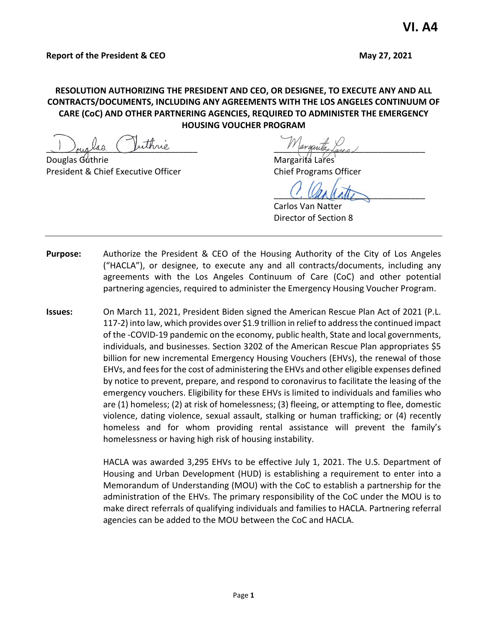# **RESOLUTION AUTHORIZING THE PRESIDENT AND CEO, OR DESIGNEE, TO EXECUTE ANY AND ALL CONTRACTS/DOCUMENTS, INCLUDING ANY AGREEMENTS WITH THE LOS ANGELES CONTINUUM OF CARE (CoC) AND OTHER PARTNERING AGENCIES, REQUIRED TO ADMINISTER THE EMERGENCY HOUSING VOUCHER PROGRAM**

Douglas Guthrie Margarita Lares in the Margarita Lares is a more controller and Margarita Lares is a more controller President & Chief Executive Officer The Chief Programs Officer

Juinne 1'argende Lares

 $U.$  Unphalts

Carlos Van Natter Director of Section 8

- **Purpose:** Authorize the President & CEO of the Housing Authority of the City of Los Angeles ("HACLA"), or designee, to execute any and all contracts/documents, including any agreements with the Los Angeles Continuum of Care (CoC) and other potential partnering agencies, required to administer the Emergency Housing Voucher Program.
- **Issues:** On March 11, 2021, President Biden signed the American Rescue Plan Act of 2021 (P.L. 117-2) into law, which provides over \$1.9 trillion in relief to address the continued impact of the -COVID-19 pandemic on the economy, public health, State and local governments, individuals, and businesses. Section 3202 of the American Rescue Plan appropriates \$5 billion for new incremental Emergency Housing Vouchers (EHVs), the renewal of those EHVs, and fees for the cost of administering the EHVs and other eligible expenses defined by notice to prevent, prepare, and respond to coronavirus to facilitate the leasing of the emergency vouchers. Eligibility for these EHVs is limited to individuals and families who are (1) homeless; (2) at risk of homelessness; (3) fleeing, or attempting to flee, domestic violence, dating violence, sexual assault, stalking or human trafficking; or (4) recently homeless and for whom providing rental assistance will prevent the family's homelessness or having high risk of housing instability.

HACLA was awarded 3,295 EHVs to be effective July 1, 2021. The U.S. Department of Housing and Urban Development (HUD) is establishing a requirement to enter into a Memorandum of Understanding (MOU) with the CoC to establish a partnership for the administration of the EHVs. The primary responsibility of the CoC under the MOU is to make direct referrals of qualifying individuals and families to HACLA. Partnering referral agencies can be added to the MOU between the CoC and HACLA.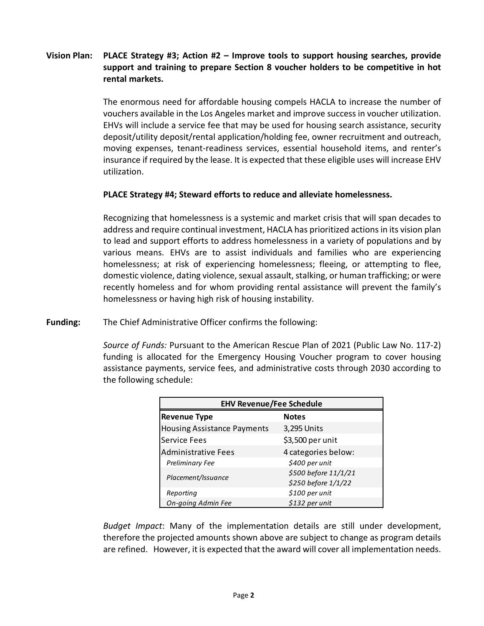# **Vision Plan: PLACE Strategy #3; Action #2 – Improve tools to support housing searches, provide support and training to prepare Section 8 voucher holders to be competitive in hot rental markets.**

The enormous need for affordable housing compels HACLA to increase the number of vouchers available in the Los Angeles market and improve success in voucher utilization. EHVs will include a service fee that may be used for housing search assistance, security deposit/utility deposit/rental application/holding fee, owner recruitment and outreach, moving expenses, tenant-readiness services, essential household items, and renter's insurance if required by the lease. It is expected that these eligible uses will increase EHV utilization.

### **PLACE Strategy #4; Steward efforts to reduce and alleviate homelessness.**

Recognizing that homelessness is a systemic and market crisis that will span decades to address and require continual investment, HACLA has prioritized actions in its vision plan to lead and support efforts to address homelessness in a variety of populations and by various means. EHVs are to assist individuals and families who are experiencing homelessness; at risk of experiencing homelessness; fleeing, or attempting to flee, domestic violence, dating violence, sexual assault, stalking, or human trafficking; or were recently homeless and for whom providing rental assistance will prevent the family's homelessness or having high risk of housing instability.

**Funding:** The Chief Administrative Officer confirms the following:

*Source of Funds:* Pursuant to the American Rescue Plan of 2021 (Public Law No. 117-2) funding is allocated for the Emergency Housing Voucher program to cover housing assistance payments, service fees, and administrative costs through 2030 according to the following schedule:

| <b>EHV Revenue/Fee Schedule</b>    |                      |
|------------------------------------|----------------------|
| <b>Revenue Type</b>                | <b>Notes</b>         |
| <b>Housing Assistance Payments</b> | 3,295 Units          |
| <b>Service Fees</b>                | \$3,500 per unit     |
| <b>Administrative Fees</b>         | 4 categories below:  |
| <b>Preliminary Fee</b>             | \$400 per unit       |
| Placement/Issuance                 | \$500 before 11/1/21 |
|                                    | \$250 before 1/1/22  |
| Reporting                          | \$100 per unit       |
| On-going Admin Fee                 | \$132 per unit       |

*Budget Impact*: Many of the implementation details are still under development, therefore the projected amounts shown above are subject to change as program details are refined. However, it is expected that the award will cover all implementation needs.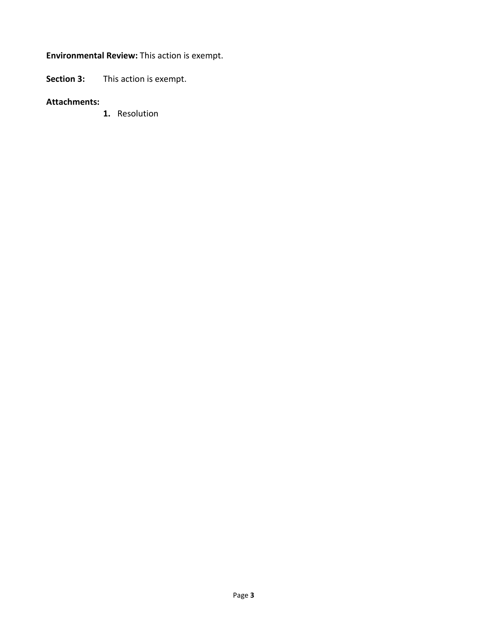# **Environmental Review:** This action is exempt.

**Section 3:** This action is exempt.

#### **Attachments:**

**1.** Resolution